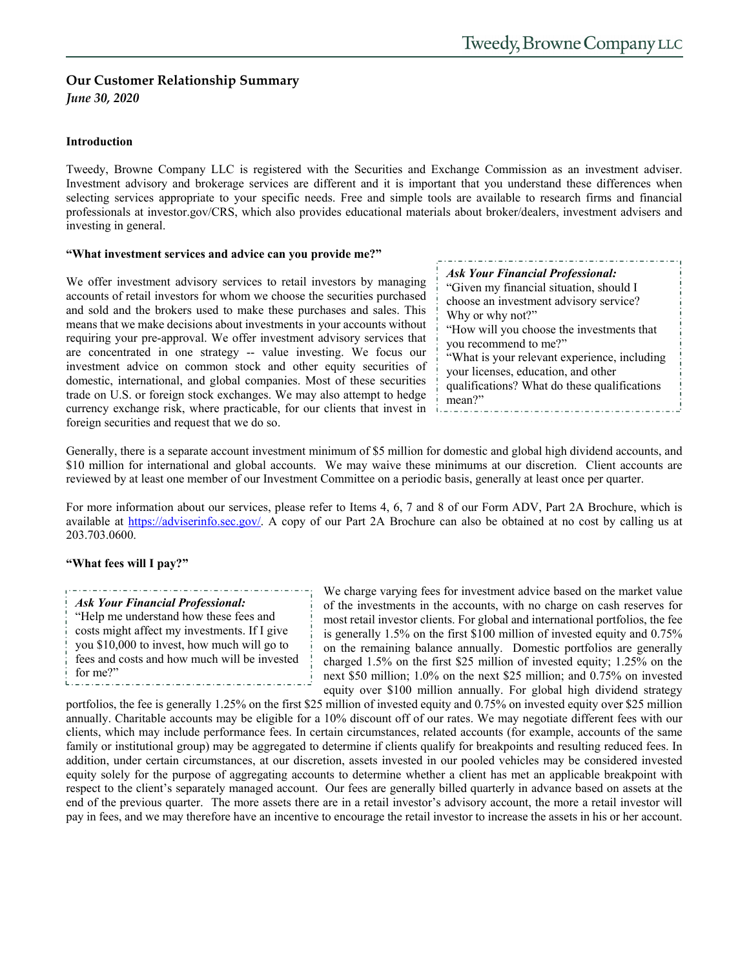# **Our Customer Relationship Summary**

*June 30, 2020*

Tweedy, Browne Company LLC is registered with the Securities and Exchange Commission as an investment adviser. Investment advisory and brokerage services are different and it is important that you understand these differences when selecting services appropriate to your specific needs. Free and simple tools are available to research firms and financial professionals at investor.gov/CRS, which also provides educational materials about broker/dealers, investment advisers and investing in general.

## **"What investment services and advice can you provide me?"**

We offer investment advisory services to retail investors by managing accounts of retail investors for whom we choose the securities purchased and sold and the brokers used to make these purchases and sales. This means that we make decisions about investments in your accounts without requiring your pre-approval. We offer investment advisory services that are concentrated in one strategy -- value investing. We focus our investment advice on common stock and other equity securities of domestic, international, and global companies. Most of these securities trade on U.S. or foreign stock exchanges. We may also attempt to hedge currency exchange risk, where practicable, for our clients that invest in foreign securities and request that we do so.

|        | <b>Ask Your Financial Professional:</b>      |
|--------|----------------------------------------------|
|        | "Given my financial situation, should I      |
|        | choose an investment advisory service?       |
|        | Why or why not?"                             |
|        | "How will you choose the investments that    |
|        | you recommend to me?"                        |
|        | "What is your relevant experience, including |
|        | your licenses, education, and other          |
|        | qualifications? What do these qualifications |
| mean?" |                                              |

Generally, there is a separate account investment minimum of \$5 million for domestic and global high dividend accounts, and \$10 million for international and global accounts. We may waive these minimums at our discretion. Client accounts are reviewed by at least one member of our Investment Committee on a periodic basis, generally at least once per quarter.

For more information about our services, please refer to Items 4, 6, 7 and 8 of our Form ADV, Part 2A Brochure, which is available at https://adviserinfo.sec.gov/. A copy of our Part 2A Brochure can also be obtained at no cost by calling us at 203.703.0600.

## **"What fees will I pay?"**

*Ask Your Financial Professional:*  "Help me understand how these fees and costs might affect my investments. If I give

you \$10,000 to invest, how much will go to fees and costs and how much will be invested for me?" balandianananananananananananananak

We charge varying fees for investment advice based on the market value of the investments in the accounts, with no charge on cash reserves for most retail investor clients. For global and international portfolios, the fee is generally 1.5% on the first \$100 million of invested equity and 0.75% on the remaining balance annually. Domestic portfolios are generally charged 1.5% on the first \$25 million of invested equity; 1.25% on the next \$50 million; 1.0% on the next \$25 million; and 0.75% on invested equity over \$100 million annually. For global high dividend strategy

portfolios, the fee is generally 1.25% on the first \$25 million of invested equity and 0.75% on invested equity over \$25 million annually. Charitable accounts may be eligible for a 10% discount off of our rates. We may negotiate different fees with our clients, which may include performance fees. In certain circumstances, related accounts (for example, accounts of the same family or institutional group) may be aggregated to determine if clients qualify for breakpoints and resulting reduced fees. In addition, under certain circumstances, at our discretion, assets invested in our pooled vehicles may be considered invested equity solely for the purpose of aggregating accounts to determine whether a client has met an applicable breakpoint with respect to the client's separately managed account. Our fees are generally billed quarterly in advance based on assets at the end of the previous quarter. The more assets there are in a retail investor's advisory account, the more a retail investor will pay in fees, and we may therefore have an incentive to encourage the retail investor to increase the assets in his or her account.

I